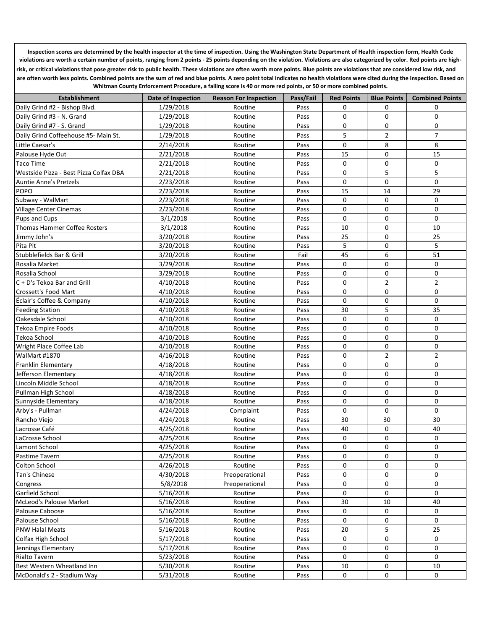**Inspection scores are determined by the health inspector at the time of inspection. Using the Washington State Department of Health inspection form, Health Code violations are worth a certain number of points, ranging from 2 points - 25 points depending on the violation. Violations are also categorized by color. Red points are highrisk, or critical violations that pose greater risk to public health. These violations are often worth more points. Blue points are violations that are considered low risk, and**  are often worth less points. Combined points are the sum of red and blue points. A zero point total indicates no health violations were cited during the inspection. Based on **Whitman County Enforcement Procedure, a failing score is 40 or more red points, or 50 or more combined points.** 

| <b>Establishment</b>                   | <b>Date of Inspection</b> | <b>Reason For Inspection</b> | Pass/Fail | <b>Red Points</b> | <b>Blue Points</b> | <b>Combined Points</b> |
|----------------------------------------|---------------------------|------------------------------|-----------|-------------------|--------------------|------------------------|
| Daily Grind #2 - Bishop Blvd.          | 1/29/2018                 | Routine                      | Pass      | 0                 | 0                  | 0                      |
| Daily Grind #3 - N. Grand              | 1/29/2018                 | Routine                      | Pass      | 0                 | 0                  | $\mathbf 0$            |
| Daily Grind #7 - S. Grand              | 1/29/2018                 | Routine                      | Pass      | 0                 | 0                  | 0                      |
| Daily Grind Coffeehouse #5- Main St.   | 1/29/2018                 | Routine                      | Pass      | 5                 | $\overline{2}$     | $\overline{7}$         |
| Little Caesar's                        | 2/14/2018                 | Routine                      | Pass      | 0                 | 8                  | 8                      |
| Palouse Hyde Out                       | 2/21/2018                 | Routine                      | Pass      | 15                | 0                  | 15                     |
| <b>Taco Time</b>                       | 2/21/2018                 | Routine                      | Pass      | 0                 | 0                  | 0                      |
| Westside Pizza - Best Pizza Colfax DBA | 2/21/2018                 | Routine                      | Pass      | 0                 | 5                  | 5                      |
| <b>Auntie Anne's Pretzels</b>          | 2/23/2018                 | Routine                      | Pass      | 0                 | 0                  | $\mathbf 0$            |
| <b>POPO</b>                            | 2/23/2018                 | Routine                      | Pass      | 15                | 14                 | 29                     |
| Subway - WalMart                       | 2/23/2018                 | Routine                      | Pass      | 0                 | 0                  | $\mathbf 0$            |
| Village Center Cinemas                 | 2/23/2018                 | Routine                      | Pass      | 0                 | 0                  | $\mathbf 0$            |
| Pups and Cups                          | 3/1/2018                  | Routine                      | Pass      | 0                 | 0                  | $\mathbf 0$            |
| Thomas Hammer Coffee Rosters           | 3/1/2018                  | Routine                      | Pass      | 10                | 0                  | 10                     |
| Jimmy John's                           | 3/20/2018                 | Routine                      | Pass      | 25                | 0                  | 25                     |
| Pita Pit                               | 3/20/2018                 | Routine                      | Pass      | 5                 | 0                  | 5                      |
| Stubblefields Bar & Grill              | 3/20/2018                 | Routine                      | Fail      | 45                | 6                  | 51                     |
| Rosalia Market                         | 3/29/2018                 | Routine                      | Pass      | 0                 | 0                  | $\mathbf 0$            |
| Rosalia School                         | 3/29/2018                 | Routine                      | Pass      | 0                 | 0                  | 0                      |
| C + D's Tekoa Bar and Grill            | 4/10/2018                 | Routine                      | Pass      | 0                 | $\overline{2}$     | $\overline{2}$         |
| Crossett's Food Mart                   | 4/10/2018                 | Routine                      | Pass      | 0                 | 0                  | $\mathbf 0$            |
| Éclair's Coffee & Company              | 4/10/2018                 | Routine                      | Pass      | 0                 | 0                  | 0                      |
| <b>Feeding Station</b>                 | 4/10/2018                 | Routine                      | Pass      | 30                | 5                  | 35                     |
| Oakesdale School                       | 4/10/2018                 | Routine                      | Pass      | 0                 | 0                  | $\mathbf 0$            |
| <b>Tekoa Empire Foods</b>              | 4/10/2018                 | Routine                      | Pass      | 0                 | 0                  | 0                      |
| Tekoa School                           | 4/10/2018                 | Routine                      | Pass      | $\mathbf 0$       | 0                  | 0                      |
| Wright Place Coffee Lab                | 4/10/2018                 | Routine                      | Pass      | 0                 | 0                  | $\mathbf 0$            |
| WalMart #1870                          | 4/16/2018                 | Routine                      | Pass      | $\mathbf 0$       | $\overline{2}$     | $\overline{2}$         |
| Franklin Elementary                    | 4/18/2018                 | Routine                      | Pass      | $\mathbf 0$       | 0                  | $\mathbf 0$            |
| Jefferson Elementary                   | 4/18/2018                 | Routine                      | Pass      | $\mathbf 0$       | 0                  | $\mathbf 0$            |
| Lincoln Middle School                  | 4/18/2018                 | Routine                      | Pass      | 0                 | 0                  | 0                      |
| Pullman High School                    | 4/18/2018                 | Routine                      | Pass      | 0                 | 0                  | $\mathbf 0$            |
| Sunnyside Elementary                   | 4/18/2018                 | Routine                      | Pass      | 0                 | 0                  | 0                      |
| Arby's - Pullman                       | 4/24/2018                 | Complaint                    | Pass      | 0                 | 0                  | 0                      |
| Rancho Viejo                           | 4/24/2018                 | Routine                      | Pass      | 30                | 30                 | 30                     |
| Lacrosse Café                          | 4/25/2018                 | Routine                      | Pass      | 40                | 0                  | 40                     |
| LaCrosse School                        | 4/25/2018                 | Routine                      | Pass      | 0                 | 0                  | 0                      |
| Lamont School                          | 4/25/2018                 | Routine                      | Pass      | $\mathbf 0$       | 0                  | $\mathbf 0$            |
| Pastime Tavern                         | 4/25/2018                 | Routine                      | Pass      | 0                 | 0                  | 0                      |
| Colton School                          | 4/26/2018                 | Routine                      | Pass      | 0                 | 0                  | $\Omega$               |
| Tan's Chinese                          | 4/30/2018                 | Preoperational               | Pass      | 0                 | 0                  | 0                      |
| Congress                               | 5/8/2018                  | Preoperational               | Pass      | 0                 | 0                  | 0                      |
| Garfield School                        | 5/16/2018                 | Routine                      | Pass      | 0                 | 0                  | $\mathbf 0$            |
| McLeod's Palouse Market                | 5/16/2018                 | Routine                      | Pass      | 30                | $10\,$             | 40                     |
| Palouse Caboose                        | 5/16/2018                 | Routine                      | Pass      | 0                 | 0                  | 0                      |
| Palouse School                         | 5/16/2018                 | Routine                      | Pass      | 0                 | 0                  | $\mathbf 0$            |
| <b>PNW Halal Meats</b>                 | 5/16/2018                 | Routine                      | Pass      | 20                | 5                  | 25                     |
| Colfax High School                     | 5/17/2018                 | Routine                      | Pass      | 0                 | 0                  | 0                      |
| Jennings Elementary                    | 5/17/2018                 | Routine                      | Pass      | 0                 | 0                  | 0                      |
| Rialto Tavern                          | 5/23/2018                 | Routine                      | Pass      | 0                 | 0                  | 0                      |
| Best Western Wheatland Inn             | 5/30/2018                 | Routine                      | Pass      | 10                | 0                  | 10                     |
| McDonald's 2 - Stadium Way             | 5/31/2018                 | Routine                      | Pass      | 0                 | 0                  | 0                      |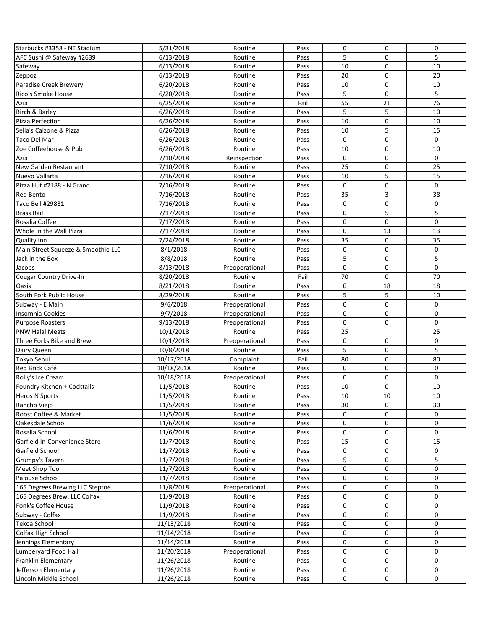| Starbucks #3358 - NE Stadium       |            |                    |              |              |             |              |
|------------------------------------|------------|--------------------|--------------|--------------|-------------|--------------|
|                                    | 5/31/2018  | Routine            | Pass         | 0            | 0           | 0            |
| AFC Sushi @ Safeway #2639          | 6/13/2018  | Routine            | Pass         | 5            | 0           | 5            |
| Safeway                            | 6/13/2018  | Routine            | Pass         | 10           | $\mathbf 0$ | 10           |
| Zeppoz                             | 6/13/2018  | Routine            | Pass         | 20           | 0           | 20           |
| Paradise Creek Brewery             | 6/20/2018  | Routine            | Pass         | 10           | 0           | 10           |
| Rico's Smoke House                 | 6/20/2018  | Routine            | Pass         | 5            | $\mathbf 0$ | 5            |
| Azia                               | 6/25/2018  | Routine            | Fail         | 55           | 21          | 76           |
| Birch & Barley                     | 6/26/2018  | Routine            | Pass         | 5            | 5           | 10           |
| Pizza Perfection                   | 6/26/2018  | Routine            | Pass         | 10           | $\mathbf 0$ | 10           |
| Sella's Calzone & Pizza            | 6/26/2018  | Routine            | Pass         | 10           | 5           | 15           |
| Taco Del Mar                       | 6/26/2018  | Routine            | Pass         | 0            | $\mathbf 0$ | $\Omega$     |
| Zoe Coffeehouse & Pub              | 6/26/2018  | Routine            | Pass         | 10           | $\mathbf 0$ | 10           |
| Azia                               | 7/10/2018  | Reinspection       | Pass         | $\mathbf{0}$ | $\mathbf 0$ | $\Omega$     |
| New Garden Restaurant              | 7/10/2018  | Routine            | Pass         | 25           | $\mathbf 0$ | 25           |
| Nuevo Vallarta                     | 7/16/2018  | Routine            | Pass         | 10           | 5           | 15           |
| Pizza Hut #2188 - N Grand          | 7/16/2018  | Routine            | Pass         | 0            | $\mathbf 0$ | 0            |
| Red Bento                          | 7/16/2018  | Routine            | Pass         | 35           | 3           | 38           |
| Taco Bell #29831                   | 7/16/2018  |                    | Pass         | 0            | 0           | $\mathbf 0$  |
| <b>Brass Rail</b>                  | 7/17/2018  | Routine<br>Routine | Pass         | 0            | 5           | 5            |
|                                    |            |                    |              | 0            | $\mathbf 0$ | 0            |
| Rosalia Coffee                     | 7/17/2018  | Routine            | Pass         |              |             |              |
| Whole in the Wall Pizza            | 7/17/2018  | Routine            | Pass         | 0            | 13          | 13           |
| <b>Quality Inn</b>                 | 7/24/2018  | Routine            | Pass         | 35           | $\mathbf 0$ | 35           |
| Main Street Squeeze & Smoothie LLC | 8/1/2018   | Routine            | Pass         | 0            | $\mathbf 0$ | $\mathbf 0$  |
| Jack in the Box                    | 8/8/2018   | Routine            | Pass         | 5            | $\mathbf 0$ | 5            |
| Jacobs                             | 8/13/2018  | Preoperational     | Pass         | $\mathbf 0$  | $\mathbf 0$ | $\mathbf 0$  |
| <b>Cougar Country Drive-In</b>     | 8/20/2018  | Routine            | Fail         | 70           | $\mathbf 0$ | 70           |
| Oasis                              | 8/21/2018  | Routine            | Pass         | 0            | 18          | 18           |
| South Fork Public House            | 8/29/2018  | Routine            | Pass         | 5            | 5           | 10           |
| Subway - E Main                    | 9/6/2018   | Preoperational     | Pass         | 0            | $\mathbf 0$ | 0            |
| Insomnia Cookies                   | 9/7/2018   | Preoperational     | Pass         | 0            | $\mathbf 0$ | $\mathbf 0$  |
| <b>Purpose Roasters</b>            | 9/13/2018  | Preoperational     | Pass         | 0            | 0           | $\mathbf{0}$ |
| <b>PNW Halal Meats</b>             | 10/1/2018  | Routine            | Pass         | 25           |             | 25           |
| Three Forks Bike and Brew          | 10/1/2018  | Preoperational     | Pass         | 0            | 0           | 0            |
| Dairy Queen                        | 10/8/2018  | Routine            | Pass         | 5            | $\mathbf 0$ | 5            |
| <b>Tokyo Seoul</b>                 | 10/17/2018 | Complaint          | Fail         | 80           | $\mathbf 0$ | 80           |
| Red Brick Café                     | 10/18/2018 | Routine            | Pass         | 0            | $\mathbf 0$ | $\Omega$     |
| Rolly's Ice Cream                  | 10/18/2018 | Preoperational     | Pass         | $\mathbf 0$  | $\mathbf 0$ | $\Omega$     |
| Foundry Kitchen + Cocktails        | 11/5/2018  | Routine            | Pass         | 10           | $\mathbf 0$ | 10           |
| Heros N Sports                     | 11/5/2018  | Routine            | Pass         | 10           | 10          | 10           |
| Rancho Viejo                       | 11/5/2018  | Routine            | Pass         | 30           | 0           | 30           |
| Roost Coffee & Market              | 11/5/2018  | Routine            | Pass         | 0            | 0           | 0            |
| Oakesdale School                   | 11/6/2018  | Routine            | Pass         | 0            | 0           | 0            |
| Rosalia School                     | 11/6/2018  |                    |              | 0            | 0           | 0            |
| Garfield In-Convenience Store      | 11/7/2018  | Routine<br>Routine | Pass<br>Pass | 15           | 0           | 15           |
|                                    |            |                    |              |              |             | $\mathbf{0}$ |
| Garfield School                    | 11/7/2018  | Routine            | Pass         | 0            | 0           |              |
| Grumpy's Tavern                    | 11/7/2018  | Routine            | Pass         | 5            | 0           | 5            |
| Meet Shop Too                      | 11/7/2018  | Routine            | Pass         | 0            | $\mathbf 0$ | 0            |
| Palouse School                     | 11/7/2018  | Routine            | Pass         | 0            | $\mathbf 0$ | $\mathbf 0$  |
| 165 Degrees Brewing LLC Steptoe    | 11/8/2018  | Preoperational     | Pass         | 0            | $\mathbf 0$ | $\mathbf 0$  |
| 165 Degrees Brew, LLC Colfax       | 11/9/2018  | Routine            | Pass         | 0            | 0           | $\mathbf 0$  |
| Fonk's Coffee House                | 11/9/2018  | Routine            | Pass         | 0            | 0           | 0            |
| Subway - Colfax                    | 11/9/2018  | Routine            | Pass         | 0            | 0           | 0            |
| Tekoa School                       | 11/13/2018 | Routine            | Pass         | 0            | 0           | 0            |
| Colfax High School                 | 11/14/2018 | Routine            | Pass         | 0            | 0           | 0            |
| Jennings Elementary                | 11/14/2018 | Routine            | Pass         | 0            | 0           | 0            |
| Lumberyard Food Hall               | 11/20/2018 | Preoperational     | Pass         | 0            | 0           | $\mathbf 0$  |
| Franklin Elementary                | 11/26/2018 | Routine            | Pass         | 0            | 0           | 0            |
| Jefferson Elementary               | 11/26/2018 | Routine            | Pass         | 0            | 0           | $\mathbf 0$  |
| Lincoln Middle School              | 11/26/2018 | Routine            | Pass         | 0            | 0           | 0            |